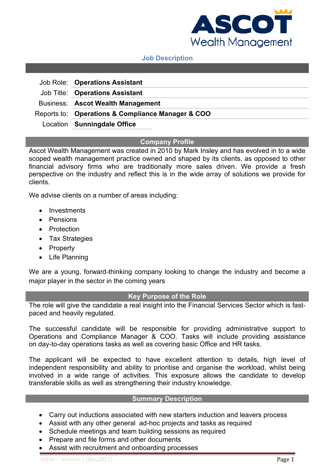

## **Job Description**

| Job Role: Operations Assistant                    |
|---------------------------------------------------|
| Job Title: Operations Assistant                   |
| <b>Business: Ascot Wealth Management</b>          |
| Reports to: Operations & Compliance Manager & COO |
| Location Sunningdale Office                       |

### **Company Profile**

Ascot Wealth Management was created in 2010 by Mark Insley and has evolved in to a wide scoped wealth management practice owned and shaped by its clients, as opposed to other financial advisory firms who are traditionally more sales driven. We provide a fresh perspective on the industry and reflect this is in the wide array of solutions we provide for clients.

We advise clients on a number of areas including:

- Investments
- Pensions
- Protection
- Tax Strategies
- Property
- Life Planning

We are a young, forward-thinking company looking to change the industry and become a major player in the sector in the coming years

# **Key Purpose of the Role**

The role will give the candidate a real insight into the Financial Services Sector which is fastpaced and heavily regulated.

The successful candidate will be responsible for providing administrative support to Operations and Compliance Manager & COO. Tasks will include providing assistance on day-to-day operations tasks as well as covering basic Office and HR tasks.

The applicant will be expected to have excellent attention to details, high level of independent responsibility and ability to prioritise and organise the workload, whilst being involved in a wide range of activities. This exposure allows the candidate to develop transferable skills as well as strengthening their industry knowledge.

### **Summary Description**

- Carry out inductions associated with new starters induction and leavers process
- Assist with any other general ad-hoc projects and tasks as required
- Schedule meetings and team building sessions as required
- Prepare and file forms and other documents
- Assist with recruitment and onboarding processes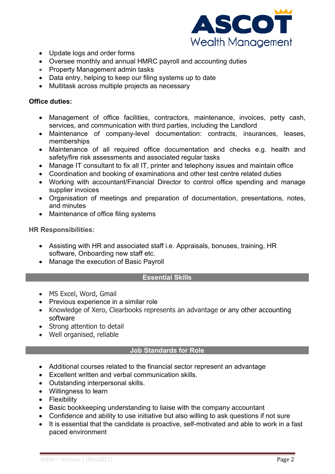

- Update logs and order forms
- Oversee monthly and annual HMRC payroll and accounting duties
- Property Management admin tasks
- Data entry, helping to keep our filing systems up to date
- Multitask across multiple projects as necessary

## **Office duties:**

- Management of office facilities, contractors, maintenance, invoices, petty cash, services, and communication with third parties, including the Landlord
- Maintenance of company-level documentation: contracts, insurances, leases, memberships
- Maintenance of all required office documentation and checks e.g. health and safety/fire risk assessments and associated regular tasks
- Manage IT consultant to fix all IT, printer and telephony issues and maintain office
- Coordination and booking of examinations and other test centre related duties
- Working with accountant/Financial Director to control office spending and manage supplier invoices
- Organisation of meetings and preparation of documentation, presentations, notes, and minutes
- Maintenance of office filing systems

**HR Responsibilities:**

- Assisting with HR and associated staff i.e. Appraisals, bonuses, training, HR software, Onboarding new staff etc.
- Manage the execution of Basic Payroll

# **Essential Skills**

- MS Excel, Word, Gmail
- Previous experience in a similar role
- Knowledge of Xero, Clearbooks represents an advantage or any other accounting software
- Strong attention to detail
- Well organised, reliable

# **Job Standards for Role**

- Additional courses related to the financial sector represent an advantage
- Excellent written and verbal communication skills.
- Outstanding interpersonal skills.
- Willingness to learn
- Flexibility
- Basic bookkeeping understanding to liaise with the company accountant
- Confidence and ability to use initiative but also willing to ask questions if not sure
- It is essential that the candidate is proactive, self-motivated and able to work in a fast paced environment